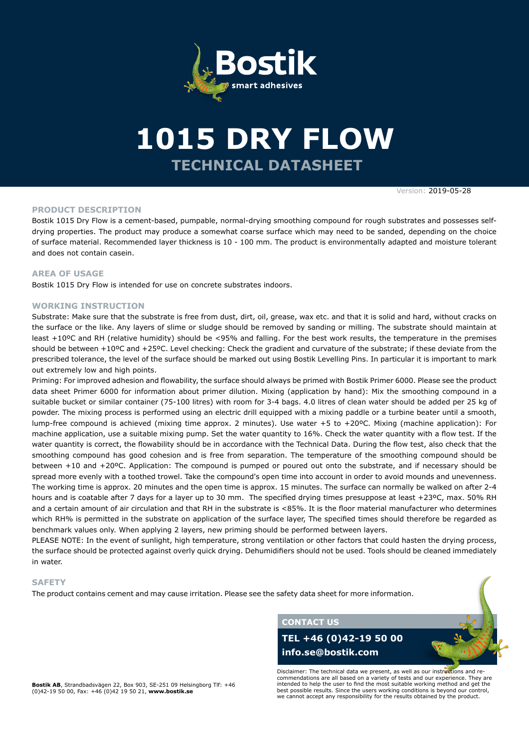

# **TECHNICAL DATASHEET 1015 DRY FLOW**

Version: 2019-05-28

#### **PRODUCT DESCRIPTION**

Bostik 1015 Dry Flow is a cement-based, pumpable, normal-drying smoothing compound for rough substrates and possesses selfdrying properties. The product may produce a somewhat coarse surface which may need to be sanded, depending on the choice of surface material. Recommended layer thickness is 10 - 100 mm. The product is environmentally adapted and moisture tolerant and does not contain casein.

#### **AREA OF USAGE**

Bostik 1015 Dry Flow is intended for use on concrete substrates indoors.

#### **WORKING INSTRUCTION**

Substrate: Make sure that the substrate is free from dust, dirt, oil, grease, wax etc. and that it is solid and hard, without cracks on the surface or the like. Any layers of slime or sludge should be removed by sanding or milling. The substrate should maintain at least +10ºC and RH (relative humidity) should be <95% and falling. For the best work results, the temperature in the premises should be between +10ºC and +25ºC. Level checking: Check the gradient and curvature of the substrate; if these deviate from the prescribed tolerance, the level of the surface should be marked out using Bostik Levelling Pins. In particular it is important to mark out extremely low and high points.

Priming: For improved adhesion and flowability, the surface should always be primed with Bostik Primer 6000. Please see the product data sheet Primer 6000 for information about primer dilution. Mixing (application by hand): Mix the smoothing compound in a suitable bucket or similar container (75-100 litres) with room for 3-4 bags. 4.0 litres of clean water should be added per 25 kg of powder. The mixing process is performed using an electric drill equipped with a mixing paddle or a turbine beater until a smooth, lump-free compound is achieved (mixing time approx. 2 minutes). Use water +5 to +20ºC. Mixing (machine application): For machine application, use a suitable mixing pump. Set the water quantity to 16%. Check the water quantity with a flow test. If the water quantity is correct, the flowability should be in accordance with the Technical Data. During the flow test, also check that the smoothing compound has good cohesion and is free from separation. The temperature of the smoothing compound should be between +10 and +20ºC. Application: The compound is pumped or poured out onto the substrate, and if necessary should be spread more evenly with a toothed trowel. Take the compound's open time into account in order to avoid mounds and unevenness. The working time is approx. 20 minutes and the open time is approx. 15 minutes. The surface can normally be walked on after 2-4 hours and is coatable after 7 days for a layer up to 30 mm. The specified drying times presuppose at least +23ºC, max. 50% RH and a certain amount of air circulation and that RH in the substrate is <85%. It is the floor material manufacturer who determines which RH% is permitted in the substrate on application of the surface layer, The specified times should therefore be regarded as benchmark values only. When applying 2 layers, new priming should be performed between layers.

PLEASE NOTE: In the event of sunlight, high temperature, strong ventilation or other factors that could hasten the drying process, the surface should be protected against overly quick drying. Dehumidifiers should not be used. Tools should be cleaned immediately in water.

#### **SAFETY**

The product contains cement and may cause irritation. Please see the safety data sheet for more information.

**CONTACT US**

## **TEL +46 (0)42-19 50 00 info.se@bostik.com**

Disclaimer: The technical data we present, as well as our instructions and recommendations are all based on a variety of tests and our experience. They are intended to help the user to find the most suitable working method and get the best possible results. Since the users working conditions is beyond our control, we cannot accept any responsibility for the results obtained by the product.

**Bostik AB**, Strandbadsvägen 22, Box 903, SE-251 09 Helsingborg Tlf: +46 (0)42-19 50 00, Fax: +46 (0)42 19 50 21, **www.bostik.se**